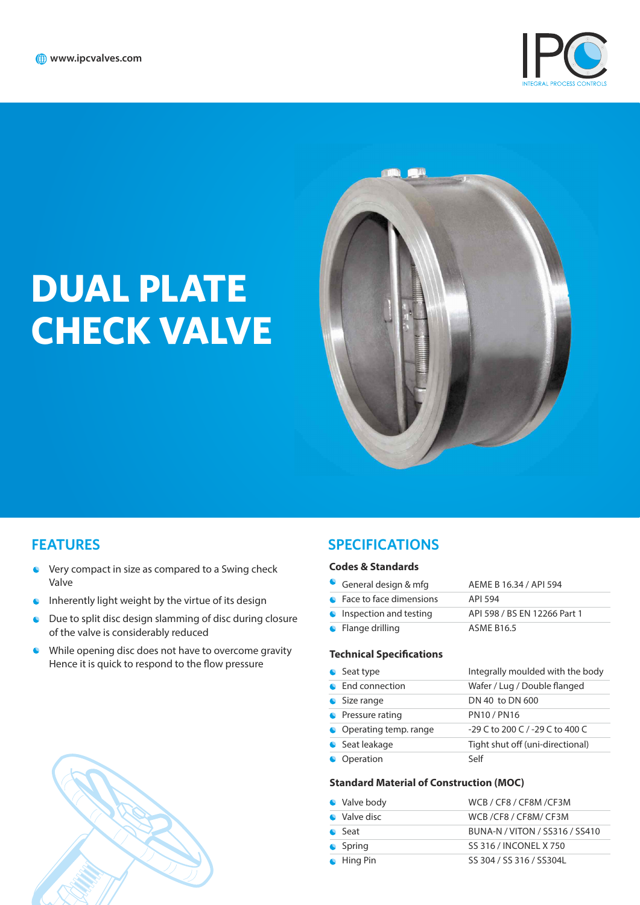

# **DUAL PLATE CHECK VALVE**



### **FEATURES**

- **C** Very compact in size as compared to a Swing check Valve
- $\bullet$  Inherently light weight by the virtue of its design
- Due to split disc design slamming of disc during closure  $\bullet$ of the valve is considerably reduced
- While opening disc does not have to overcome gravity Hence it is quick to respond to the flow pressure



## **SPECIFICATIONS**

#### **Codes & Standards**

| General design & mfg            | AEME B 16.34 / API 594       |
|---------------------------------|------------------------------|
| • Face to face dimensions       | API 594                      |
| <b>C</b> Inspection and testing | API 598 / BS EN 12266 Part 1 |
| $\bullet$ Flange drilling       | <b>ASME B16.5</b>            |

#### **Technical Specifications**

| • Seat type             | Integrally moulded with the body |
|-------------------------|----------------------------------|
| • End connection        | Wafer / Lug / Double flanged     |
| • Size range            | DN 40 to DN 600                  |
| • Pressure rating       | <b>PN10/PN16</b>                 |
| • Operating temp. range | -29 C to 200 C / -29 C to 400 C  |
| Seat leakage            | Tight shut off (uni-directional) |
| Operation               | Self                             |

#### **Standard Material of Construction (MOC)**

| • Valve body       | WCB / CF8 / CF8M / CF3M        |
|--------------------|--------------------------------|
| • Valve disc       | WCB/CF8/CF8M/CF3M              |
| $\bullet$ Seat     | BUNA-N / VITON / SS316 / SS410 |
| $\bullet$ Spring   | SS 316 / INCONEL X 750         |
| $\bullet$ Hing Pin | SS 304 / SS 316 / SS304L       |